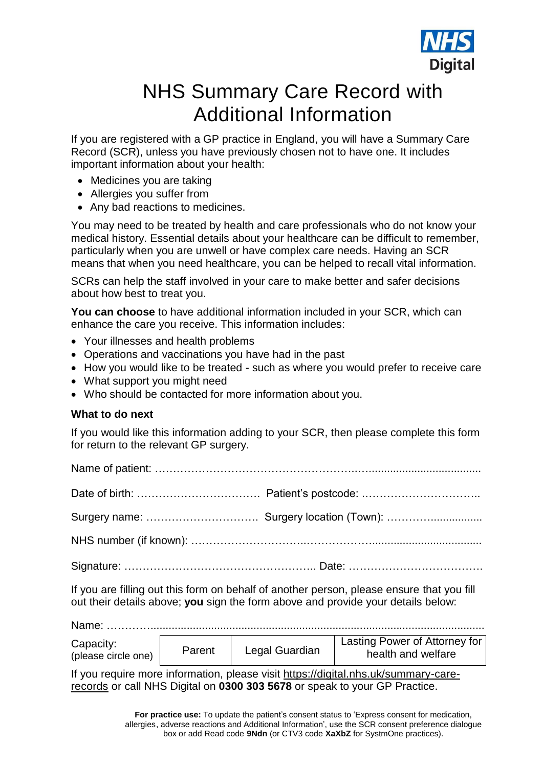

## NHS Summary Care Record with Additional Information

If you are registered with a GP practice in England, you will have a Summary Care Record (SCR), unless you have previously chosen not to have one. It includes important information about your health:

- Medicines you are taking
- Allergies you suffer from
- Any bad reactions to medicines.

You may need to be treated by health and care professionals who do not know your medical history. Essential details about your healthcare can be difficult to remember, particularly when you are unwell or have complex care needs. Having an SCR means that when you need healthcare, you can be helped to recall vital information.

SCRs can help the staff involved in your care to make better and safer decisions about how best to treat you.

**You can choose** to have additional information included in your SCR, which can enhance the care you receive. This information includes:

- Your illnesses and health problems
- Operations and vaccinations you have had in the past
- How you would like to be treated such as where you would prefer to receive care
- What support you might need
- Who should be contacted for more information about you.

#### **What to do next**

If you would like this information adding to your SCR, then please complete this form for return to the relevant GP surgery.

If you are filling out this form on behalf of another person, please ensure that you fill out their details above; **you** sign the form above and provide your details below:

| Name:                            |        |                |                                                     |
|----------------------------------|--------|----------------|-----------------------------------------------------|
| Capacity:<br>(please circle one) | Parent | Legal Guardian | Lasting Power of Attorney for<br>health and welfare |

If you require more information, please visit [https://digital.nhs.uk/summary-care](https://digital.nhs.uk/summary-care-records)[records](https://digital.nhs.uk/summary-care-records) or call NHS Digital on **0300 303 5678** or speak to your GP Practice.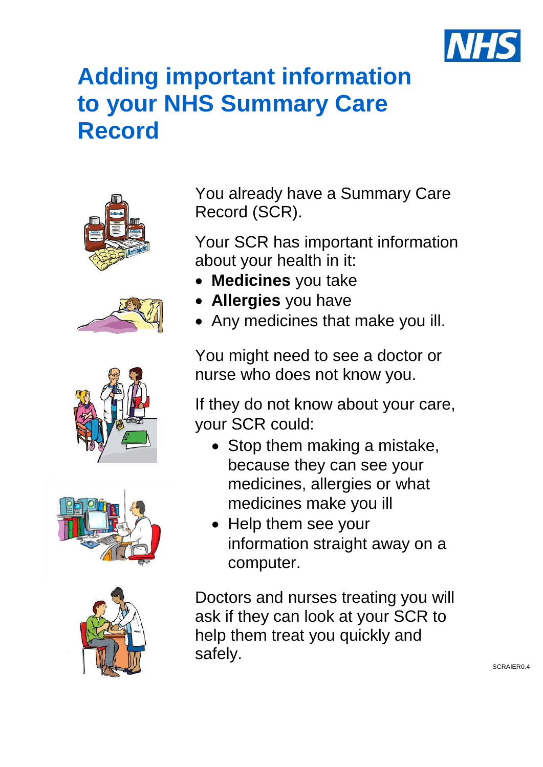

# **Adding important information to your NHS Summary Care Record**











You already have a Summary Care Record (SCR).

Your SCR has important information about your health in it:

- **Medicines** you take
- **Allergies** you have
- Any medicines that make you ill.

You might need to see a doctor or nurse who does not know you.

If they do not know about your care, your SCR could:

- Stop them making a mistake, because they can see your medicines, allergies or what medicines make you ill
- Help them see your information straight away on a computer.

Doctors and nurses treating you will ask if they can look at your SCR to help them treat you quickly and safely.